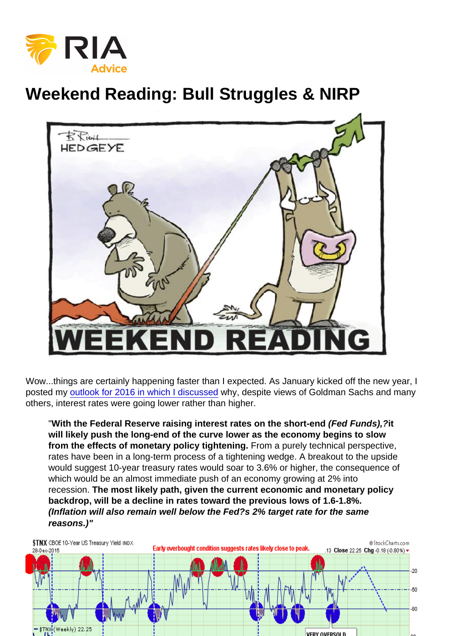## Weekend Reading: Bull Struggles & NIRP

Wow...things are certainly happening faster than I expected. As January kicked off the new year, I posted my [outlook for 2016 in which I discussed](https://realinvestmentadvice.com/2016-market-outlook-forecast-01-01-16/) why, despite views of Goldman Sachs and many others, interest rates were going lower rather than higher.

"With the Federal Reserve raising interest rates on the short-end (Fed Funds),? it will likely push the long-end of the curve lower as the economy begins to slow from the effects of monetary policy tightening. From a purely technical perspective, rates have been in a long-term process of a tightening wedge. A breakout to the upside would suggest 10-year treasury rates would soar to 3.6% or higher, the consequence of which would be an almost immediate push of an economy growing at 2% into recession. The most likely path, given the current economic and monetary policy backdrop, will be a decline in rates toward the previous lows of 1.6-1.8%. (Inflation will also remain well below the Fed?s 2% target rate for the same reasons.)"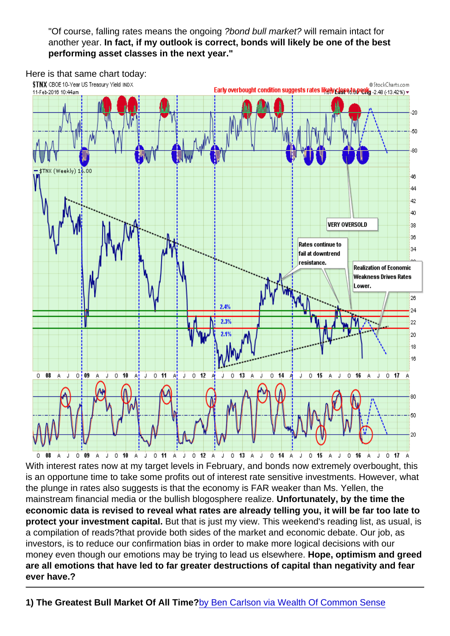"Of course, falling rates means the ongoing ?bond bull market? will remain intact for another year. In fact, if my outlook is correct, bonds will likely be one of the best performing asset classes in the next year."

Here is that same chart today:

With interest rates now at my target levels in February, and bonds now extremely overbought, this is an opportune time to take some profits out of interest rate sensitive investments. However, what the plunge in rates also suggests is that the economy is FAR weaker than Ms. Yellen, the mainstream financial media or the bullish blogosphere realize. Unfortunately, by the time the economic data is revised to reveal what rates are already telling you, it will be far too late to protect your investment capital. But that is just my view. This weekend's reading list, as usual, is a compilation of reads?that provide both sides of the market and economic debate. Our job, as investors, is to reduce our confirmation bias in order to make more logical decisions with our money even though our emotions may be trying to lead us elsewhere. Hope, optimism and greed are all emotions that have led to far greater destructions of capital than negativity and fear ever have.?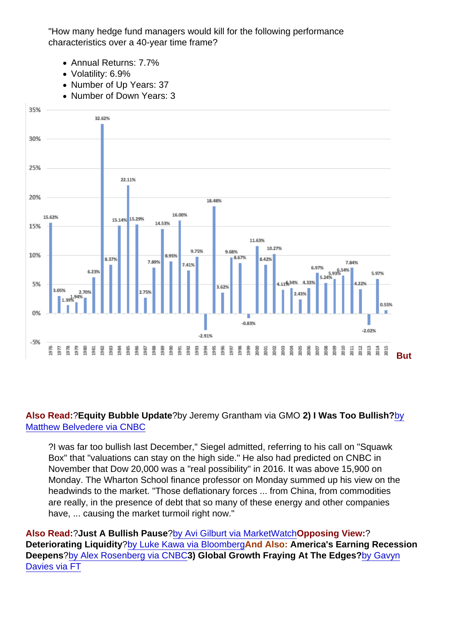"How many hedge fund managers would kill for the following performance characteristics over a 40-year time frame?

- Annual Returns: 7.7%
- Volatility: 6.9%
- Number of Up Years: 37
- Number of Down Years: 3
- Annual Win %: 93%
- Worst Annual Loss: -2.9%
- [Average Annual Loss: -1.9%](https://realinvestmentadvice.com/wp-content/uploads/2016/02/Bond-Returns-1976-2015.png)
- Max Drawdown: -12.4%"

**But** 

Also Read: ?Equity Bubble Update ?by Jeremy Grantham via GMO 2) I Was Too Bullish? [by](http://www.cnbc.com/2016/02/08/jeremy-siegel-i-was-too-bullish-and-heres-why.html) [Matthew Belvedere via CNBC](http://www.cnbc.com/2016/02/08/jeremy-siegel-i-was-too-bullish-and-heres-why.html)

?I was far too bullish last December," Siegel admitted, referring to his call on "Squawk Box" that "valuations can stay on the high side." He also had predicted on CNBC in November that Dow 20,000 was a "real possibility" in 2016. It was above 15,900 on Monday. The Wharton School finance professor on Monday summed up his view on the headwinds to the market. "Those deflationary forces ... from China, from commodities are really, in the presence of debt that so many of these energy and other companies have, ... causing the market turmoil right now."

Also Read: ?Just A Bullish Pause ?[by Avi Gilburt via MarketWatchO](http://www.marketwatch.com/story/sp-gives-more-reasons-to-be-bearish-than-bullish-right-now-2016-02-08)pposing View: ? Deteriorating Liquidity ?[by Luke Kawa via Bloomberg](http://www.bloomberg.com/news/articles/2016-02-08/bank-of-america-this-chart-shows-deteriorating-liquidity-is-at-the-heart-of-market-carnage)And Also: America's Earning Recession Deepens ?[by Alex Rosenberg via CNBC](http://www.cnbc.com/2016/02/07/americas-earnings-recession-deepens.html)3) Global Growth Fraying At The Edges? [by Gavyn](http://blogs.ft.com/gavyndavies/2016/02/07/global-growth-now-fraying-at-the-edges/) [Davies via FT](http://blogs.ft.com/gavyndavies/2016/02/07/global-growth-now-fraying-at-the-edges/)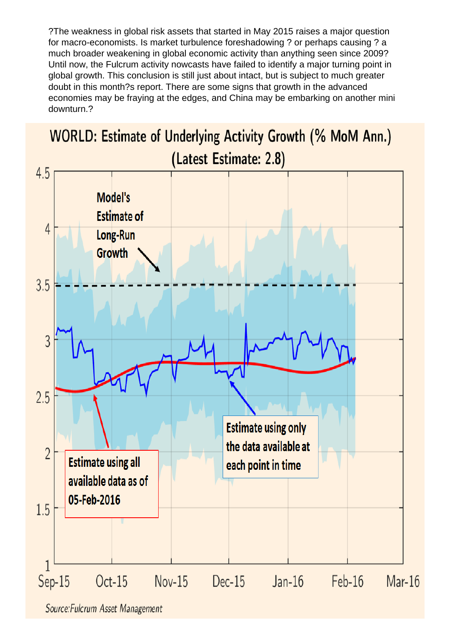?The weakness in global risk assets that started in May 2015 raises a major question for macro-economists. Is market turbulence foreshadowing ? or perhaps causing ? a much broader weakening in global economic activity than anything seen since 2009? Until now, the Fulcrum activity nowcasts have failed to identify a major turning point in global growth. This conclusion is still just about intact, but is subject to much greater doubt in this month?s report. There are some signs that growth in the advanced economies may be fraying at the edges, and China may be embarking on another mini downturn.?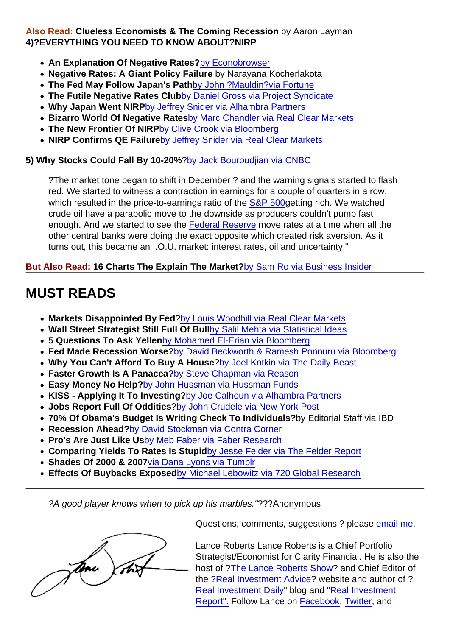Also Read: Clueless Economists & The Coming Recession by Aaron Layman 4)?EVERYTHING YOU NEED TO KNOW ABOUT?NIRP

- An Explanation Of Negative Rates? [by Econobrowser](http://econbrowser.com/archives/2016/02/negative-interest-rates-2)
- Negative Rates: A Giant Policy Failure by Narayana Kocherlakota
- The Fed May Follow Japan's Path [by John ?Mauldin?via Fortune](http://www.forbes.com/sites/johnmauldin/2016/02/09/the-fed-may-follow-japans-path/#f65aadc4e5fa)
- The Futile Negative Rates Club [by Daniel Gross via Project Syndicate](http://www.project-syndicate.org/commentary/futility-of-quantitative-easing-in-japan-and-eurozone-by-daniel-gros-2016-02)
- Why Japan Went NIRP [by Jeffrey Snider via Alhambra Partners](http://www.alhambrapartners.com/2016/02/08/why-japan-went-nirp-no-more-doubts-about-qqe/)
- Bizarro World Of Negative Rates [by Marc Chandler via Real Clear Markets](http://www.realclearmarkets.com/articles/2016/02/10/the_bizarro_world_of_negative_interest_rates_101999.html)
- The New Frontier Of NIRP [by Clive Crook via Bloomberg](http://www.bloombergview.com/articles/2016-02-11/the-new-frontier-of-negative-interest-rates)
- NIRP Confirms QE Failure [by Jeffrey Snider via Real Clear Markets](http://www.realclearmarkets.com/articles/2016/02/12/nirp_is_its_own_big_problem_and_confirms_qes_disaster_102006.html)

5) Why Stocks Could Fall By 10-20% [?by Jack Bouroudjian via CNBC](http://www.cnbc.com/2016/02/09/stocks-could-fall-10-to-20-percent-more-commentary.html)

?The market tone began to shift in December ? and the warning signals started to flash red. We started to witness a contraction in earnings for a couple of quarters in a row, which resulted in the price-to-earnings ratio of the [S&P 500](http://data.cnbc.com/quotes/.SPX) getting rich. We watched crude oil have a parabolic move to the downside as producers couldn't pump fast enough. And we started to see the [Federal Reserve](http://www.cnbc.com/id/43752521) move rates at a time when all the other central banks were doing the exact opposite which created risk aversion. As it turns out, this became an I.O.U. market: interest rates, oil and uncertainty."

But Also Read: 16 Charts The Explain The Market? [by Sam Ro via Business Insider](http://www.businessinsider.com/charts-that-explain-stock-market-2016-2)

## MUST READS

- Markets Disappointed By Fed ?[by Louis Woodhill via Real Clear Markets](http://www.realclearmarkets.com/articles/2016/02/08/the_markets_are_disappointed_in_the_fed_not_the_jobless_rate_101998.html)
- Wall Street Strategist Still Full Of Bull [by Salil Mehta via Statistical Ideas](https://plus.google.com/108661976913631707070/posts/dr5TjafZJYb)
- 5 Questions To Ask Yellen [by Mohamed El-Erian via Bloomberg](http://www.bloombergview.com/articles/2016-02-09/5-questions-for-janet-yellen)
- Fed Made Recession Worse? [by David Beckworth & Ramesh Ponnuru via Bloomberg](http://www.bloombergview.com/articles/2016-02-08/our-critics-are-wrong-the-fed-erred-in-2008)
- Why You Can't Afford To Buy A House [?by Joel Kotkin via The Daily Beast](http://www.thedailybeast.com/articles/2016/02/08/this-is-why-you-can-t-afford-a-house.html)
- Faster Growth Is A Panacea? [by Steve Chapman via Reason](https://reason.com/archives/2016/02/08/healthy-economic-growth-is-our-missing-i)
- Easy Money No Help? [by John Hussman via Hussman Funds](http://www.hussmanfunds.com/wmc/wmc160208.htm)
- KISS Applying It To Investing? [by Joe Calhoun via Alhambra Partners](http://www.alhambrapartners.com/2016/02/07/kiss/)
- Jobs Report Full Of Oddities [?by John Crudele via New York Post](http://nypost.com/2016/02/08/januarys-job-report-is-full-of-troubling-oddities/)
- 70% Of Obama's Budget Is Writing Check To Individuals? by Editorial Staff via IBD
- Recession Ahead? [by David Stockman via Contra Corner](http://davidstockmanscontracorner.com/the-spook-in-the-casino-recession-just-ahead-part-1/)
- Pro's Are Just Like Us [by Meb Faber via Faber Research](http://mebfaber.com/2016/01/13/institutions-theyre-just-like-us/)
- Comparing Yields To Rates Is Stupid [by Jesse Felder via The Felder Report](https://www.thefelderreport.com/2016/02/10/why-comparing-dividend-yields-to-interest-rates-is-such-a-dumb-idea-right-now/)
- Shades Of 2000 & 2007 [via Dana Lyons via Tumblr](http://jlfmi.tumblr.com/post/139005200580/intraday-trading-indicator-showing-shades-of-2000)
- Effects Of Buybacks Exposed [by Michael Lebowitz via 720 Global Research](http://nebula.wsimg.com/78645f87d5009c1720f2bc85f244ebec?AccessKeyId=372BE07F51497C9CD088&disposition=0&alloworigin=1)

?A good player knows when to pick up his marbles."???Anonymous

Questions, comments, suggestions ? please [email me](mailto:lance@realinvestmentadvice.com).

Lance Roberts Lance Roberts is a Chief Portfolio Strategist/Economist for Clarity Financial. He is also the host of [?The Lance Roberts Show](http://ksevradio.com/host/lance-roberts/)? and Chief Editor of the ?[Real Investment Advice?](https://realinvestmentadvice.com/) website and author of ? [Real Investment Daily"](https://realinvestmentadvice.com/real-investment-daily/) blog and ["Real Investment](https://realinvestmentadvice.com/finally-a-bounce-01-22-16/) [Report".](https://realinvestmentadvice.com/finally-a-bounce-01-22-16/) Follow Lance on [Facebook](https://www.facebook.com/RealInvestmentAdvice/), [Twitter](https://twitter.com/LanceRoberts), and